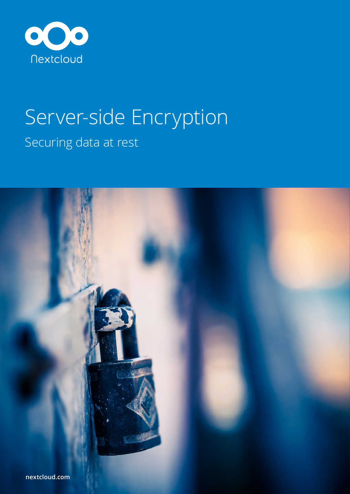

# Server-side Encryption Securing data at rest

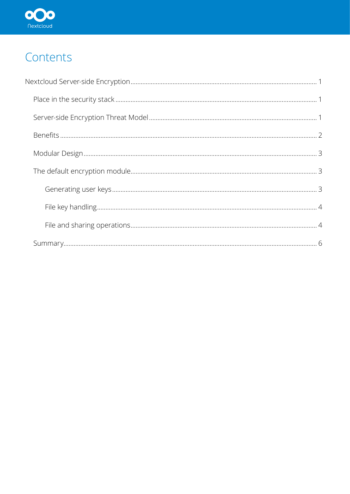

# Contents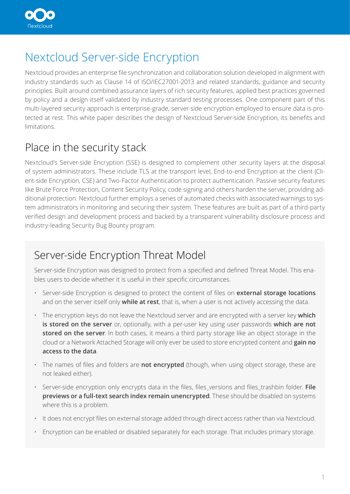<span id="page-2-0"></span>

# Nextcloud Server-side Encryption

Nextcloud provides an enterprise file synchronization and collaboration solution developed in alignment with industry standards such as Clause 14 of ISO/IEC27001-2013 and related standards, guidance and security principles. Built around combined assurance layers of rich security features, applied best practices governed by policy and a design itself validated by industry standard testing processes. One component part of this multi-layered security approach is enterprise-grade, server-side encryption employed to ensure data is protected at rest. This white paper describes the design of Nextcloud Server-side Encryption, its benefits and limitations.

### Place in the security stack

Nextcloud's Server-side Encryption (SSE) is designed to complement other security layers at the disposal of system administrators. These include TLS at the transport level, End-to-end Encryption at the client (Client-side Encryption, CSE) and Two-Factor Authentication to protect authentication. Passive security features like Brute Force Protection, Content Security Policy, code signing and others harden the server, providing additional protection. Nextcloud further employs a series of automated checks with associated warnings to system administrators in monitoring and securing their system. These features are built as part of a third-party verified design and development process and backed by a transparent vulnerability disclosure process and industry-leading Security Bug Bounty program.

### Server-side Encryption Threat Model

Server-side Encryption was designed to protect from a specified and defined Threat Model. This enables users to decide whether it is useful in their specific circumstances.

- Server-side Encryption is designed to protect the content of files on **external storage locations**  and on the server itself only **while at rest**, that is, when a user is not actively accessing the data.
- The encryption keys do not leave the Nextcloud server and are encrypted with a server key **which is stored on the server** or, optionally, with a per-user key using user passwords **which are not stored on the server**. In both cases, it means a third party storage like an object storage in the cloud or a Network Attached Storage will only ever be used to store encrypted content and **gain no access to the data**.
- The names of files and folders are **not encrypted** (though, when using object storage, these are not leaked either).
- Server-side encryption only encrypts data in the files, files\_versions and files\_trashbin folder. **File previews or a full-text search index remain unencrypted**. These should be disabled on systems where this is a problem.
- It does not encrypt files on external storage added through direct access rather than via Nextcloud.
- Encryption can be enabled or disabled separately for each storage. That includes primary storage.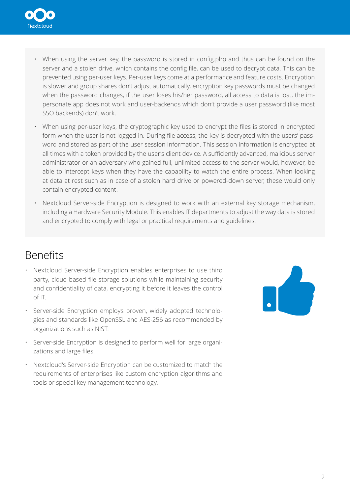<span id="page-3-0"></span>

- When using the server key, the password is stored in config.php and thus can be found on the server and a stolen drive, which contains the config file, can be used to decrypt data. This can be prevented using per-user keys. Per-user keys come at a performance and feature costs. Encryption is slower and group shares don't adjust automatically, encryption key passwords must be changed when the password changes, if the user loses his/her password, all access to data is lost, the impersonate app does not work and user-backends which don't provide a user password (like most SSO backends) don't work.
- When using per-user keys, the cryptographic key used to encrypt the files is stored in encrypted form when the user is not logged in. During file access, the key is decrypted with the users' password and stored as part of the user session information. This session information is encrypted at all times with a token provided by the user's client device. A sufficiently advanced, malicious server administrator or an adversary who gained full, unlimited access to the server would, however, be able to intercept keys when they have the capability to watch the entire process. When looking at data at rest such as in case of a stolen hard drive or powered-down server, these would only contain encrypted content.
- Nextcloud Server-side Encryption is designed to work with an external key storage mechanism, including a Hardware Security Module. This enables IT departments to adjust the way data is stored and encrypted to comply with legal or practical requirements and guidelines.

### Benefits

- Nextcloud Server-side Encryption enables enterprises to use third party, cloud based file storage solutions while maintaining security and confidentiality of data, encrypting it before it leaves the control of IT.
- Server-side Encryption employs proven, widely adopted technologies and standards like OpenSSL and AES-256 as recommended by organizations such as NIST.
- Server-side Encryption is designed to perform well for large organizations and large files.
- Nextcloud's Server-side Encryption can be customized to match the requirements of enterprises like custom encryption algorithms and tools or special key management technology.

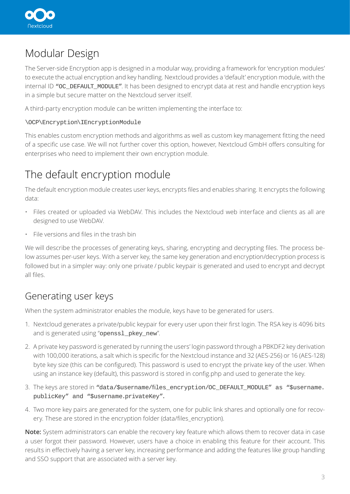<span id="page-4-0"></span>

# Modular Design

The Server-side Encryption app is designed in a modular way, providing a framework for 'encryption modules' to execute the actual encryption and key handling. Nextcloud provides a 'default' encryption module, with the internal ID "OC\_DEFAULT\_MODULE". It has been designed to encrypt data at rest and handle encryption keys in a simple but secure matter on the Nextcloud server itself.

A third-party encryption module can be written implementing the interface to:

#### \OCP\Encryption\IEncryptionModule

This enables custom encryption methods and algorithms as well as custom key management fitting the need of a specific use case. We will not further cover this option, however, Nextcloud GmbH offers consulting for enterprises who need to implement their own encryption module.

# The default encryption module

The default encryption module creates user keys, encrypts files and enables sharing. It encrypts the following data:

- Files created or uploaded via WebDAV. This includes the Nextcloud web interface and clients as all are designed to use WebDAV.
- File versions and files in the trash bin

We will describe the processes of generating keys, sharing, encrypting and decrypting files. The process below assumes per-user keys. With a server key, the same key generation and encryption/decryption process is followed but in a simpler way: only one private / public keypair is generated and used to encrypt and decrypt all files.

### Generating user keys

When the system administrator enables the module, keys have to be generated for users.

- 1. Nextcloud generates a private/public keypair for every user upon their first login. The RSA key is 4096 bits and is generated using "openssl\_pkey\_new".
- 2. A private key password is generated by running the users' login password through a PBKDF2 key derivation with 100,000 iterations, a salt which is specific for the Nextcloud instance and 32 (AES-256) or 16 (AES-128) byte key size (this can be configured). This password is used to encrypt the private key of the user. When using an instance key (default), this password is stored in config.php and used to generate the key.
- 3. The keys are stored in "data/\$username/files\_encryption/OC\_DEFAULT\_MODULE" as "\$username. publicKey" and "\$username.privateKey".
- 4. Two more key pairs are generated for the system, one for public link shares and optionally one for recovery. These are stored in the encryption folder (data/files\_encryption).

**Note:** System administrators can enable the recovery key feature which allows them to recover data in case a user forgot their password. However, users have a choice in enabling this feature for their account. This results in effectively having a server key, increasing performance and adding the features like group handling and SSO support that are associated with a server key.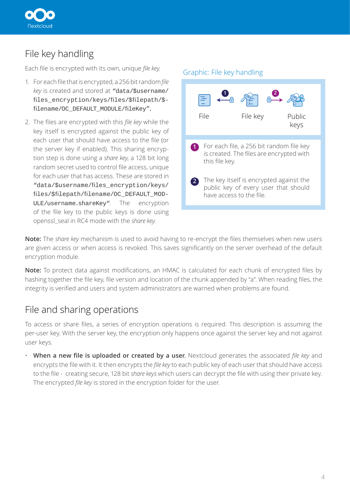<span id="page-5-0"></span>

### File key handling

Each file is encrypted with its own, unique *file key*.

- 1. For each file that is encrypted, a 256 bit random *file key* is created and stored at "data/\$username/ files\_encryption/keys/files/\$filepath/\$ filename/OC\_DEFAULT\_MODULE/fileKey".
- 2. The files are encrypted with this *file key* while the key itself is encrypted against the public key of each user that should have access to the file (or the server key if enabled). This sharing encryption step is done using a *share key*, a 128 bit long random secret used to control file access, unique for each user that has access. These are stored in "data/\$username/files\_encryption/keys/ files/\$filepath/filename/OC\_DEFAULT\_MOD-ULE/username.shareKey". The encryption of the file key to the public keys is done using openssl\_seal in RC4 mode with the *share key.*

### For each file, a 256 bit random file key **1** is created. The files are encrypted with this file key. The key itself is encrypted against the **2** public key of every user that should have access to the file. File **1 2** File key Public keys Graphic: File key handling

**Note:** The *share key* mechanism is used to avoid having to re-encrypt the files themselves when new users are given access or when access is revoked. This saves significantly on the server overhead of the default encryption module.

**Note:** To protect data against modifications, an HMAC is calculated for each chunk of encrypted files by hashing together the file key, file version and location of the chunk appended by "a". When reading files, the integrity is verified and users and system administrators are warned when problems are found.

### File and sharing operations

To access or share files, a series of encryption operations is required. This description is assuming the per-user key. With the server key, the encryption only happens once against the server key and not against user keys.

• **When a new file is uploaded or created by a user**, Nextcloud generates the associated *file key* and encrypts the file with it. It then encrypts the *file key* to each public key of each user that should have access to the file - creating secure, 128 bit *share keys* which users can decrypt the file with using their private key. The encrypted *file key* is stored in the encryption folder for the user.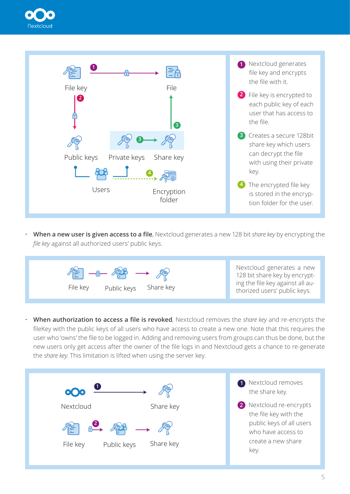



• **When a new user is given access to a file**, Nextcloud generates a new 128 bit *share key* by encrypting the *file key* against all authorized users' public keys.



Nextcloud generates a new 128 bit share key by encrypting the file key against all au-

• **When authorization to access a file is revoked**, Nextcloud removes the *share key* and re-encrypts the fileKey with the public keys of all users who have access to create a new one. Note that this requires the user who 'owns' the file to be logged in. Adding and removing users from groups can thus be done, but the new users only get access after the owner of the file logs in and Nextcloud gets a chance to re-generate the *share key*. This limitation is lifted when using the server key.

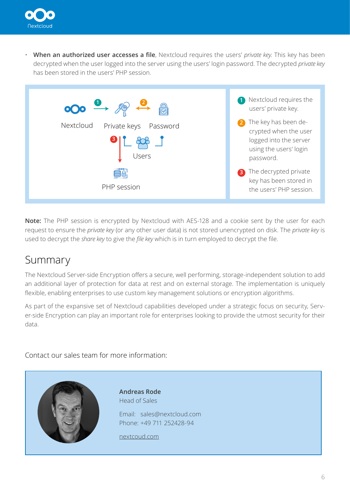<span id="page-7-0"></span>

• **When an authorized user accesses a file**, Nextcloud requires the users' *private key*. This key has been decrypted when the user logged into the server using the users' login password. The decrypted *private key* has been stored in the users' PHP session.



**Note:** The PHP session is encrypted by Nextcloud with AES-128 and a cookie sent by the user for each request to ensure the *private key* (or any other user data) is not stored unencrypted on disk. The *private key* is used to decrypt the *share key* to give the *file key* which is in turn employed to decrypt the file.

### Summary

The Nextcloud Server-side Encryption offers a secure, well performing, storage-independent solution to add an additional layer of protection for data at rest and on external storage. The implementation is uniquely flexible, enabling enterprises to use custom key management solutions or encryption algorithms.

As part of the expansive set of Nextcloud capabilities developed under a strategic focus on security, Server-side Encryption can play an important role for enterprises looking to provide the utmost security for their data.

Contact our sales team for more information: